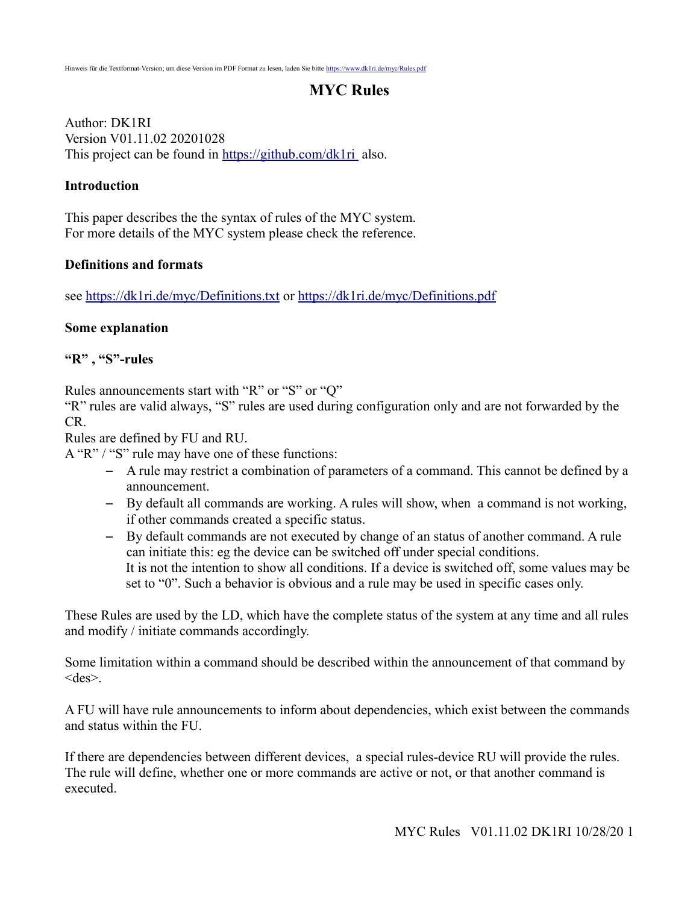# **MYC Rules**

Author: DK1RI Version V01.11.02 20201028 This project can be found in<https://github.com/dk1ri>also.

#### **Introduction**

This paper describes the the syntax of rules of the MYC system. For more details of the MYC system please check the reference.

#### **Definitions and formats**

see<https://dk1ri.de/myc/Definitions.txt>or<https://dk1ri.de/myc/Definitions.pdf>

#### **Some explanation**

**"R" , "S"-rules**

Rules announcements start with "R" or "S" or "Q"

"R" rules are valid always, "S" rules are used during configuration only and are not forwarded by the CR.

Rules are defined by FU and RU.

A "R" / "S" rule may have one of these functions:

- A rule may restrict a combination of parameters of a command. This cannot be defined by a announcement.
- By default all commands are working. A rules will show, when a command is not working, if other commands created a specific status.
- By default commands are not executed by change of an status of another command. A rule can initiate this: eg the device can be switched off under special conditions. It is not the intention to show all conditions. If a device is switched off, some values may be set to "0". Such a behavior is obvious and a rule may be used in specific cases only.

These Rules are used by the LD, which have the complete status of the system at any time and all rules and modify / initiate commands accordingly.

Some limitation within a command should be described within the announcement of that command by <des>.

A FU will have rule announcements to inform about dependencies, which exist between the commands and status within the FU.

If there are dependencies between different devices, a special rules-device RU will provide the rules. The rule will define, whether one or more commands are active or not, or that another command is executed.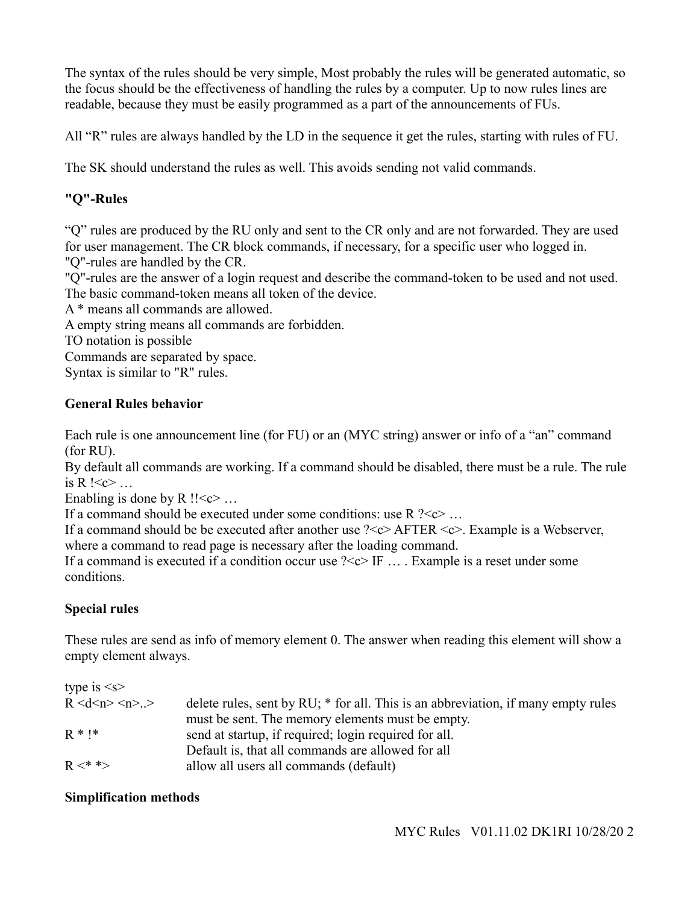The syntax of the rules should be very simple, Most probably the rules will be generated automatic, so the focus should be the effectiveness of handling the rules by a computer. Up to now rules lines are readable, because they must be easily programmed as a part of the announcements of FUs.

All "R" rules are always handled by the LD in the sequence it get the rules, starting with rules of FU.

The SK should understand the rules as well. This avoids sending not valid commands.

# **"Q"-Rules**

"Q" rules are produced by the RU only and sent to the CR only and are not forwarded. They are used for user management. The CR block commands, if necessary, for a specific user who logged in. "Q"-rules are handled by the CR.

"Q"-rules are the answer of a login request and describe the command-token to be used and not used. The basic command-token means all token of the device.

A \* means all commands are allowed.

A empty string means all commands are forbidden.

TO notation is possible

Commands are separated by space. Syntax is similar to "R" rules.

## **General Rules behavior**

Each rule is one announcement line (for FU) or an (MYC string) answer or info of a "an" command (for RU).

By default all commands are working. If a command should be disabled, there must be a rule. The rule is R  $\leq c$  …

Enabling is done by  $R$  !! $\lt c$  ...

If a command should be executed under some conditions: use  $R$  ? < c> ...

If a command should be be executed after another use ?<c> AFTER <c>. Example is a Webserver,

where a command to read page is necessary after the loading command.

If a command is executed if a condition occur use  $\frac{2}{5}$  IF ... Example is a reset under some conditions.

## **Special rules**

These rules are send as info of memory element 0. The answer when reading this element will show a empty element always.

| type is $\leq s$      |                                                                                   |
|-----------------------|-----------------------------------------------------------------------------------|
| R < d < n > < n > . > | delete rules, sent by RU; * for all. This is an abbreviation, if many empty rules |
|                       | must be sent. The memory elements must be empty.                                  |
| $R * !*$              | send at startup, if required; login required for all.                             |
|                       | Default is, that all commands are allowed for all                                 |
| $R <^**>$             | allow all users all commands (default)                                            |

## **Simplification methods**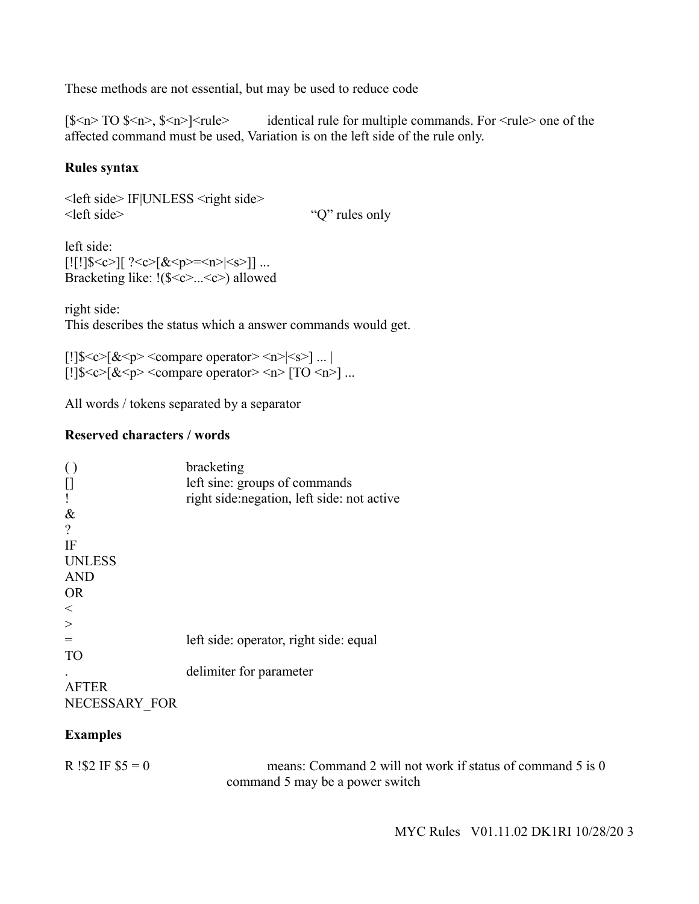These methods are not essential, but may be used to reduce code

 $[\$<sub>n</sub>> TO$   $$<sub>n</sub>>,  
\$<sub>n</sub>><sub>1</sub><$   $$<sub>n</sub>><sub>1</sub><sub>1</sub>  
\n $\times$  identical rule for multiple commands. For  $\lt$  rule> one of the$ affected command must be used, Variation is on the left side of the rule only.

## **Rules syntax**

<left side> IF|UNLESS <right side> <left side> "Q" rules only

left side:  $[![!]$  $$$ ] $[$  ?<c> $$**8**$  $$>$  $=$   $$**9**$  $$>$  $$>$  $$>$  $$>$ ]] ... Bracketing like: !(\$<c>...<c>) allowed

right side: This describes the status which a answer commands would get.

[!] $\frac{\sqrt{2}}{8}$  <c> $\frac{\sqrt{2}}{8}$  <compare operator> <n>|<s>]... [!] $\frac{\sqrt{2}}{2}$  =  $\frac{\sqrt{2}}{2}$  <  $\frac{\sqrt{2}}{2}$  <  $\frac{\sqrt{2}}{2}$  compare operator > < n> [TO < n>] ...

All words / tokens separated by a separator

## **Reserved characters / words**

|               | bracketing                                  |
|---------------|---------------------------------------------|
|               | left sine: groups of commands               |
|               | right side: negation, left side: not active |
| $\&$          |                                             |
| $\gamma$      |                                             |
| IF            |                                             |
| <b>UNLESS</b> |                                             |
| <b>AND</b>    |                                             |
| <b>OR</b>     |                                             |
| $\,<$         |                                             |
|               |                                             |
|               | left side: operator, right side: equal      |
| <b>TO</b>     |                                             |
|               | delimiter for parameter                     |
|               |                                             |
|               |                                             |

NECESSARY\_FOR

## **Examples**

R !\$2 IF  $$5 = 0$  means: Command 2 will not work if status of command 5 is 0 command 5 may be a power switch